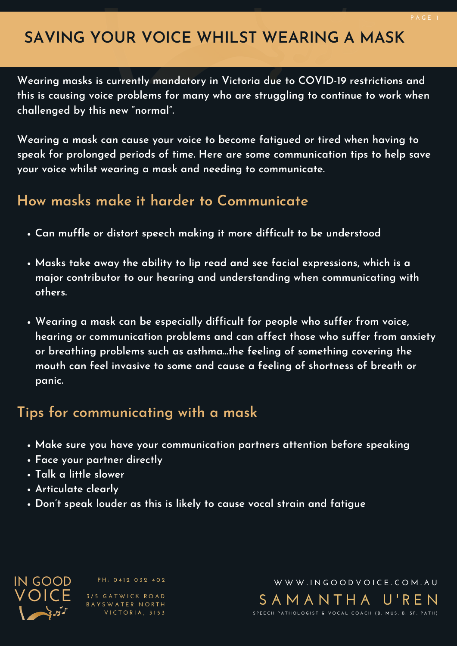# **SAVING YOUR VOICE WHILST WEARING A MASK**

**Wearing masks is currently mandatory in Victoria due to COVID-19 restrictions and this is causing voice problems for many who are struggling to continue to work when challenged by this new "normal".**

**Wearing a mask can cause your voice to become fatigued or tired when having to speak for prolonged periods of time. Here are some communication tips to help save your voice whilst wearing a mask and needing to communicate.**

#### **How masks make it harder to Communicate**

- **Can muffle or distort speech making it more difficult to be understood**
- **Masks take away the ability to lip read and see facial expressions, which is a major contributor to our hearing and understanding when communicating with others.**
- **Wearing a mask can be especially difficult for people who suffer from voice, hearing or communication problems and can affect those who suffer from anxiety or breathing problems such as asthma…the feeling of something covering the mouth can feel invasive to some and cause a feeling of shortness of breath or panic.**

#### **Tips for communicating with a mask**

- **Make sure you have your communication partners attention before speaking**
- **Face your partner directly**
- **Talk a little slower**
- **Articulate clearly**
- **Don't speak louder as this is likely to cause vocal strain and fatigue**

**VOICE IN GOOD**

**P H : 0 4 12 0 3 2 4 0 2**

**3 / 5 G A T W I C K R O A D B A Y S W A T E R N O R T H V I C T O R IA , 3 1 5 3**

**S A M A N T H A U ' R E N** SPEECH PATHOLOGIST & VOCAL COACH (B. MUS. B. SP. PATH) **W W W . I N G O O D V O I C E .C O M . A U**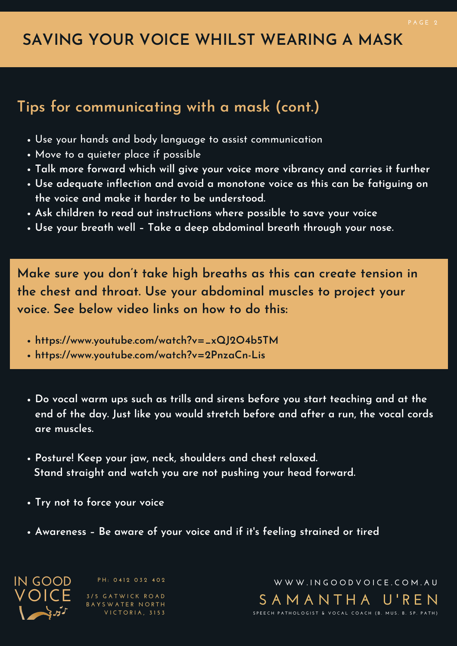# **SAVING YOUR VOICE WHILST WEARING A MASK**

#### **Tips for communicating with a mask (cont.)**

- Use your hands and body language to assist communication
- Move to a quieter place if possible
- **Talk more forward which will give your voice more vibrancy and carries it further**
- **Use adequate inflection and avoid a monotone voice as this can be fatiguing on the voice and make it harder to be understood.**
- **Ask children to read out instructions where possible to save your voice**
- **Use your breath well – Take a deep abdominal breath through your nose.**

**Make sure you don't take high breaths as this can create tension in the chest and throat. Use your abdominal muscles to project your voice. See below video links on how to do this:**

- **https://www.youtube.com/watch?v=\_xQJ2O4b5TM**
- **https://www.youtube.com/watch?v=2PnzaCn-Lis**
- **Do vocal warm ups such as trills and sirens before you start teaching and at the end of the day. Just like you would stretch before and after a run, the vocal cords are muscles.**
- **Posture! Keep your jaw, neck, shoulders and chest relaxed. Stand straight and watch you are not pushing your head forward.**
- **Try not to force your voice**
- **Awareness – Be aware of your voice and if it's feeling strained or tired**

**VOICE IN GOOD**

**P H : 0 4 12 0 3 2 4 0 2**

**3 / 5 G A T W I C K R O A D B A Y S W A T E R N O R T H V I C T O R IA , 3 1 5 3**

**S A M A N T H A U ' R E N** SPEECH PATHOLOGIST & VOCAL COACH (B. MUS. B. SP. PATH) **W W W . I N G O O D V O I C E .C O M . A U**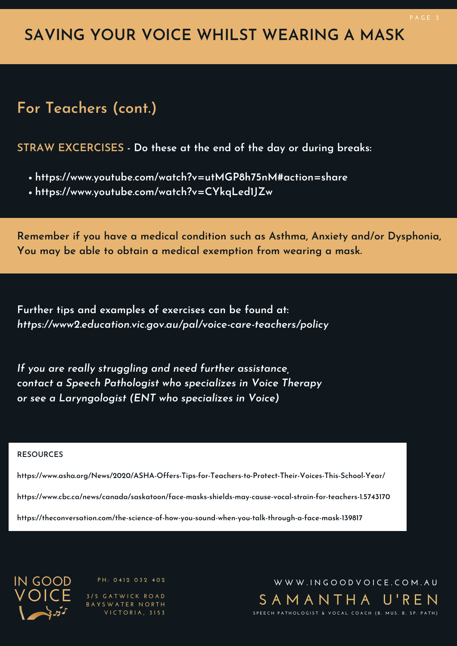# **SAVING YOUR VOICE WHILST WEARING A MASK**

### **For Teachers (cont.)**

**STRAW EXCERCISES - Do these at the end of the day or during breaks:**

- **https://www.youtube.com/watch?v=utMGP8h75nM#action=share**
- **https://www.youtube.com/watch?v=CYkqLed1JZw**

**Remember if you have a medical condition such as Asthma, Anxiety and/or Dysphonia, You may be able to obtain a medical exemption from wearing a mask.**

**Further tips and examples of exercises can be found at:** *https://www2.education.vic.gov.au/pal/voice-care-teachers/policy*

*If you are really struggling and need further assistance, contact a Speech Pathologist who specializes in Voice Therapy or see a Laryngologist (ENT who specializes in Voice)*

#### **RESOURCES**

**https://www.asha.org/News/2020/ASHA-Offers-Tips-for-Teachers-to-Protect-Their-Voices-This-School-Year/**

**https://www.cbc.ca/news/canada/saskatoon/face-masks-shields-may-cause-vocal-strain-for-teachers-1.5743170**

**https://theconversation.com/the-science-of-how-you-sound-when-you-talk-through-a-face-mask-139817**



**P H : 0 4 12 0 3 2 4 0 2**

**3 / 5 G A T W I C K R O A D B A Y S W A T E R N O R T H V I C T O R IA , 3 1 5 3**

**S A M A N T H A U ' R E N** SPEECH PATHOLOGIST & VOCAL COACH (B. MUS. B. SP. PATH) **W W W . I N G O O D V O I C E .C O M . A U**